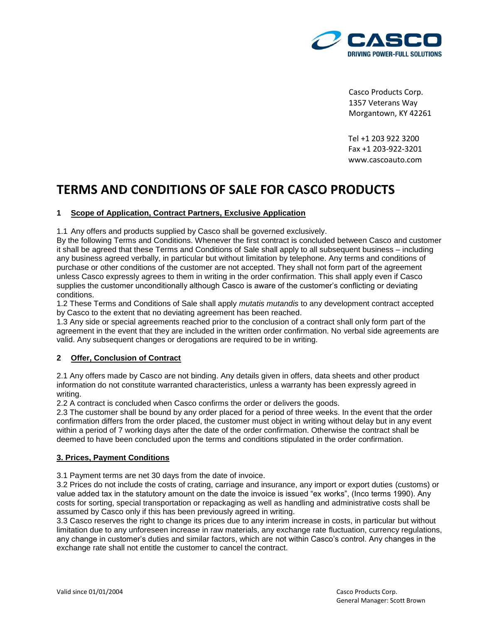

Casco Products Corp. 1357 Veterans Way Morgantown, KY 42261

Tel +1 203 922 3200 Fax +1 203-922-3201 www.cascoauto.com

# **TERMS AND CONDITIONS OF SALE FOR CASCO PRODUCTS**

## **1 Scope of Application, Contract Partners, Exclusive Application**

1.1 Any offers and products supplied by Casco shall be governed exclusively.

By the following Terms and Conditions. Whenever the first contract is concluded between Casco and customer it shall be agreed that these Terms and Conditions of Sale shall apply to all subsequent business – including any business agreed verbally, in particular but without limitation by telephone. Any terms and conditions of purchase or other conditions of the customer are not accepted. They shall not form part of the agreement unless Casco expressly agrees to them in writing in the order confirmation. This shall apply even if Casco supplies the customer unconditionally although Casco is aware of the customer's conflicting or deviating conditions.

1.2 These Terms and Conditions of Sale shall apply *mutatis mutandis* to any development contract accepted by Casco to the extent that no deviating agreement has been reached.

1.3 Any side or special agreements reached prior to the conclusion of a contract shall only form part of the agreement in the event that they are included in the written order confirmation. No verbal side agreements are valid. Any subsequent changes or derogations are required to be in writing.

## **2 Offer, Conclusion of Contract**

2.1 Any offers made by Casco are not binding. Any details given in offers, data sheets and other product information do not constitute warranted characteristics, unless a warranty has been expressly agreed in writing.

2.2 A contract is concluded when Casco confirms the order or delivers the goods.

2.3 The customer shall be bound by any order placed for a period of three weeks. In the event that the order confirmation differs from the order placed, the customer must object in writing without delay but in any event within a period of 7 working days after the date of the order confirmation. Otherwise the contract shall be deemed to have been concluded upon the terms and conditions stipulated in the order confirmation.

### **3. Prices, Payment Conditions**

3.1 Payment terms are net 30 days from the date of invoice.

3.2 Prices do not include the costs of crating, carriage and insurance, any import or export duties (customs) or value added tax in the statutory amount on the date the invoice is issued "ex works", (Inco terms 1990). Any costs for sorting, special transportation or repackaging as well as handling and administrative costs shall be assumed by Casco only if this has been previously agreed in writing.

3.3 Casco reserves the right to change its prices due to any interim increase in costs, in particular but without limitation due to any unforeseen increase in raw materials, any exchange rate fluctuation, currency regulations, any change in customer's duties and similar factors, which are not within Casco's control. Any changes in the exchange rate shall not entitle the customer to cancel the contract.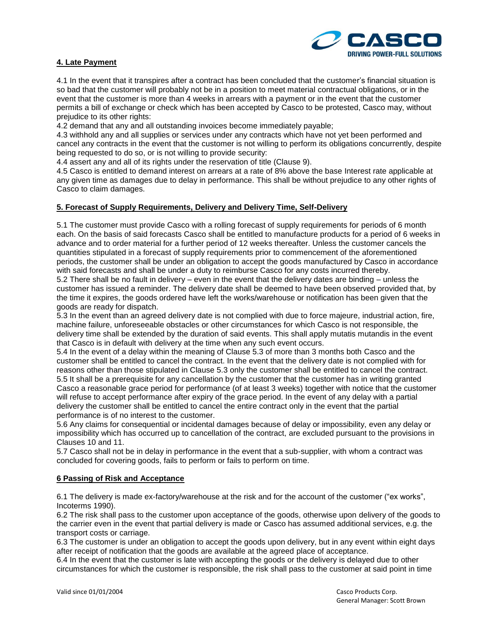

## **4. Late Payment**

4.1 In the event that it transpires after a contract has been concluded that the customer's financial situation is so bad that the customer will probably not be in a position to meet material contractual obligations, or in the event that the customer is more than 4 weeks in arrears with a payment or in the event that the customer permits a bill of exchange or check which has been accepted by Casco to be protested, Casco may, without prejudice to its other rights:

4.2 demand that any and all outstanding invoices become immediately payable;

4.3 withhold any and all supplies or services under any contracts which have not yet been performed and cancel any contracts in the event that the customer is not willing to perform its obligations concurrently, despite being requested to do so, or is not willing to provide security:

4.4 assert any and all of its rights under the reservation of title (Clause 9).

4.5 Casco is entitled to demand interest on arrears at a rate of 8% above the base Interest rate applicable at any given time as damages due to delay in performance. This shall be without prejudice to any other rights of Casco to claim damages.

### **5. Forecast of Supply Requirements, Delivery and Delivery Time, Self-Delivery**

5.1 The customer must provide Casco with a rolling forecast of supply requirements for periods of 6 month each. On the basis of said forecasts Casco shall be entitled to manufacture products for a period of 6 weeks in advance and to order material for a further period of 12 weeks thereafter. Unless the customer cancels the quantities stipulated in a forecast of supply requirements prior to commencement of the aforementioned periods, the customer shall be under an obligation to accept the goods manufactured by Casco in accordance with said forecasts and shall be under a duty to reimburse Casco for any costs incurred thereby. 5.2 There shall be no fault in delivery – even in the event that the delivery dates are binding – unless the customer has issued a reminder. The delivery date shall be deemed to have been observed provided that, by the time it expires, the goods ordered have left the works/warehouse or notification has been given that the goods are ready for dispatch.

5.3 In the event than an agreed delivery date is not complied with due to force majeure, industrial action, fire, machine failure, unforeseeable obstacles or other circumstances for which Casco is not responsible, the delivery time shall be extended by the duration of said events. This shall apply mutatis mutandis in the event that Casco is in default with delivery at the time when any such event occurs.

5.4 In the event of a delay within the meaning of Clause 5.3 of more than 3 months both Casco and the customer shall be entitled to cancel the contract. In the event that the delivery date is not complied with for reasons other than those stipulated in Clause 5.3 only the customer shall be entitled to cancel the contract. 5.5 It shall be a prerequisite for any cancellation by the customer that the customer has in writing granted Casco a reasonable grace period for performance (of at least 3 weeks) together with notice that the customer will refuse to accept performance after expiry of the grace period. In the event of any delay with a partial delivery the customer shall be entitled to cancel the entire contract only in the event that the partial performance is of no interest to the customer.

5.6 Any claims for consequential or incidental damages because of delay or impossibility, even any delay or impossibility which has occurred up to cancellation of the contract, are excluded pursuant to the provisions in Clauses 10 and 11.

5.7 Casco shall not be in delay in performance in the event that a sub-supplier, with whom a contract was concluded for covering goods, fails to perform or fails to perform on time.

### **6 Passing of Risk and Acceptance**

6.1 The delivery is made ex-factory/warehouse at the risk and for the account of the customer ("ex works", Incoterms 1990).

6.2 The risk shall pass to the customer upon acceptance of the goods, otherwise upon delivery of the goods to the carrier even in the event that partial delivery is made or Casco has assumed additional services, e.g. the transport costs or carriage.

6.3 The customer is under an obligation to accept the goods upon delivery, but in any event within eight days after receipt of notification that the goods are available at the agreed place of acceptance.

6.4 In the event that the customer is late with accepting the goods or the delivery is delayed due to other circumstances for which the customer is responsible, the risk shall pass to the customer at said point in time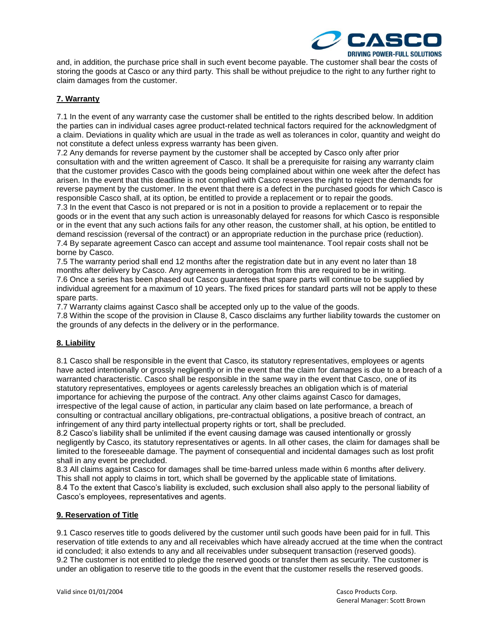

and, in addition, the purchase price shall in such event become payable. The customer shall bear the costs of storing the goods at Casco or any third party. This shall be without prejudice to the right to any further right to claim damages from the customer.

## **7. Warranty**

7.1 In the event of any warranty case the customer shall be entitled to the rights described below. In addition the parties can in individual cases agree product-related technical factors required for the acknowledgment of a claim. Deviations in quality which are usual in the trade as well as tolerances in color, quantity and weight do not constitute a defect unless express warranty has been given.

7.2 Any demands for reverse payment by the customer shall be accepted by Casco only after prior consultation with and the written agreement of Casco. It shall be a prerequisite for raising any warranty claim that the customer provides Casco with the goods being complained about within one week after the defect has arisen. In the event that this deadline is not complied with Casco reserves the right to reject the demands for reverse payment by the customer. In the event that there is a defect in the purchased goods for which Casco is responsible Casco shall, at its option, be entitled to provide a replacement or to repair the goods. 7.3 In the event that Casco is not prepared or is not in a position to provide a replacement or to repair the goods or in the event that any such action is unreasonably delayed for reasons for which Casco is responsible or in the event that any such actions fails for any other reason, the customer shall, at his option, be entitled to

demand rescission (reversal of the contract) or an appropriate reduction in the purchase price (reduction). 7.4 By separate agreement Casco can accept and assume tool maintenance. Tool repair costs shall not be borne by Casco.

7.5 The warranty period shall end 12 months after the registration date but in any event no later than 18 months after delivery by Casco. Any agreements in derogation from this are required to be in writing. 7.6 Once a series has been phased out Casco guarantees that spare parts will continue to be supplied by individual agreement for a maximum of 10 years. The fixed prices for standard parts will not be apply to these spare parts.

7.7 Warranty claims against Casco shall be accepted only up to the value of the goods.

7.8 Within the scope of the provision in Clause 8, Casco disclaims any further liability towards the customer on the grounds of any defects in the delivery or in the performance.

### **8. Liability**

8.1 Casco shall be responsible in the event that Casco, its statutory representatives, employees or agents have acted intentionally or grossly negligently or in the event that the claim for damages is due to a breach of a warranted characteristic. Casco shall be responsible in the same way in the event that Casco, one of its statutory representatives, employees or agents carelessly breaches an obligation which is of material importance for achieving the purpose of the contract. Any other claims against Casco for damages, irrespective of the legal cause of action, in particular any claim based on late performance, a breach of consulting or contractual ancillary obligations, pre-contractual obligations, a positive breach of contract, an infringement of any third party intellectual property rights or tort, shall be precluded.

8.2 Casco's liability shall be unlimited if the event causing damage was caused intentionally or grossly negligently by Casco, its statutory representatives or agents. In all other cases, the claim for damages shall be limited to the foreseeable damage. The payment of consequential and incidental damages such as lost profit shall in any event be precluded.

8.3 All claims against Casco for damages shall be time-barred unless made within 6 months after delivery. This shall not apply to claims in tort, which shall be governed by the applicable state of limitations. 8.4 To the extent that Casco's liability is excluded, such exclusion shall also apply to the personal liability of Casco's employees, representatives and agents.

### **9. Reservation of Title**

9.1 Casco reserves title to goods delivered by the customer until such goods have been paid for in full. This reservation of title extends to any and all receivables which have already accrued at the time when the contract id concluded; it also extends to any and all receivables under subsequent transaction (reserved goods). 9.2 The customer is not entitled to pledge the reserved goods or transfer them as security. The customer is under an obligation to reserve title to the goods in the event that the customer resells the reserved goods.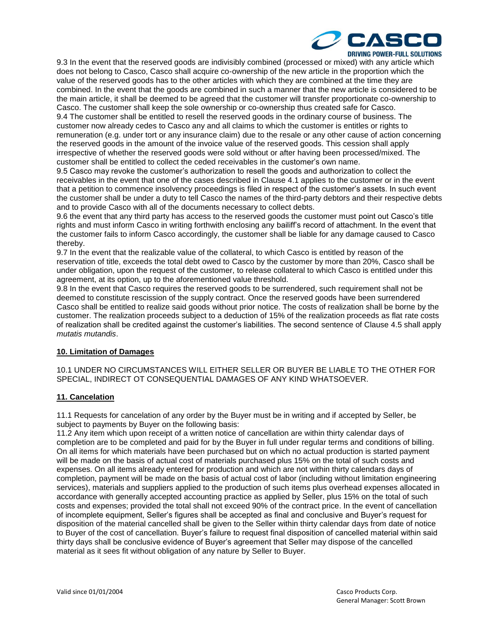

9.3 In the event that the reserved goods are indivisibly combined (processed or mixed) with any article which does not belong to Casco, Casco shall acquire co-ownership of the new article in the proportion which the value of the reserved goods has to the other articles with which they are combined at the time they are combined. In the event that the goods are combined in such a manner that the new article is considered to be the main article, it shall be deemed to be agreed that the customer will transfer proportionate co-ownership to Casco. The customer shall keep the sole ownership or co-ownership thus created safe for Casco. 9.4 The customer shall be entitled to resell the reserved goods in the ordinary course of business. The customer now already cedes to Casco any and all claims to which the customer is entitles or rights to remuneration (e.g. under tort or any insurance claim) due to the resale or any other cause of action concerning the reserved goods in the amount of the invoice value of the reserved goods. This cession shall apply irrespective of whether the reserved goods were sold without or after having been processed/mixed. The customer shall be entitled to collect the ceded receivables in the customer's own name.

9.5 Casco may revoke the customer's authorization to resell the goods and authorization to collect the receivables in the event that one of the cases described in Clause 4.1 applies to the customer or in the event that a petition to commence insolvency proceedings is filed in respect of the customer's assets. In such event the customer shall be under a duty to tell Casco the names of the third-party debtors and their respective debts and to provide Casco with all of the documents necessary to collect debts.

9.6 the event that any third party has access to the reserved goods the customer must point out Casco's title rights and must inform Casco in writing forthwith enclosing any bailiff's record of attachment. In the event that the customer fails to inform Casco accordingly, the customer shall be liable for any damage caused to Casco thereby.

9.7 In the event that the realizable value of the collateral, to which Casco is entitled by reason of the reservation of title, exceeds the total debt owed to Casco by the customer by more than 20%, Casco shall be under obligation, upon the request of the customer, to release collateral to which Casco is entitled under this agreement, at its option, up to the aforementioned value threshold.

9.8 In the event that Casco requires the reserved goods to be surrendered, such requirement shall not be deemed to constitute rescission of the supply contract. Once the reserved goods have been surrendered Casco shall be entitled to realize said goods without prior notice. The costs of realization shall be borne by the customer. The realization proceeds subject to a deduction of 15% of the realization proceeds as flat rate costs of realization shall be credited against the customer's liabilities. The second sentence of Clause 4.5 shall apply *mutatis mutandis*.

### **10. Limitation of Damages**

10.1 UNDER NO CIRCUMSTANCES WILL EITHER SELLER OR BUYER BE LIABLE TO THE OTHER FOR SPECIAL, INDIRECT OT CONSEQUENTIAL DAMAGES OF ANY KIND WHATSOEVER.

## **11. Cancelation**

11.1 Requests for cancelation of any order by the Buyer must be in writing and if accepted by Seller, be subject to payments by Buyer on the following basis:

11.2 Any item which upon receipt of a written notice of cancellation are within thirty calendar days of completion are to be completed and paid for by the Buyer in full under regular terms and conditions of billing. On all items for which materials have been purchased but on which no actual production is started payment will be made on the basis of actual cost of materials purchased plus 15% on the total of such costs and expenses. On all items already entered for production and which are not within thirty calendars days of completion, payment will be made on the basis of actual cost of labor (including without limitation engineering services), materials and suppliers applied to the production of such items plus overhead expenses allocated in accordance with generally accepted accounting practice as applied by Seller, plus 15% on the total of such costs and expenses; provided the total shall not exceed 90% of the contract price. In the event of cancellation of incomplete equipment, Seller's figures shall be accepted as final and conclusive and Buyer's request for disposition of the material cancelled shall be given to the Seller within thirty calendar days from date of notice to Buyer of the cost of cancellation. Buyer's failure to request final disposition of cancelled material within said thirty days shall be conclusive evidence of Buyer's agreement that Seller may dispose of the cancelled material as it sees fit without obligation of any nature by Seller to Buyer.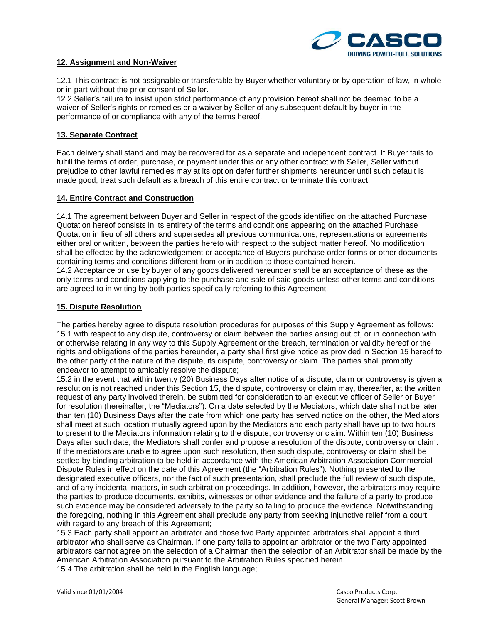

### **12. Assignment and Non-Waiver**

12.1 This contract is not assignable or transferable by Buyer whether voluntary or by operation of law, in whole or in part without the prior consent of Seller.

12.2 Seller's failure to insist upon strict performance of any provision hereof shall not be deemed to be a waiver of Seller's rights or remedies or a waiver by Seller of any subsequent default by buyer in the performance of or compliance with any of the terms hereof.

#### **13. Separate Contract**

Each delivery shall stand and may be recovered for as a separate and independent contract. If Buyer fails to fulfill the terms of order, purchase, or payment under this or any other contract with Seller, Seller without prejudice to other lawful remedies may at its option defer further shipments hereunder until such default is made good, treat such default as a breach of this entire contract or terminate this contract.

#### **14. Entire Contract and Construction**

14.1 The agreement between Buyer and Seller in respect of the goods identified on the attached Purchase Quotation hereof consists in its entirety of the terms and conditions appearing on the attached Purchase Quotation in lieu of all others and supersedes all previous communications, representations or agreements either oral or written, between the parties hereto with respect to the subject matter hereof. No modification shall be effected by the acknowledgement or acceptance of Buyers purchase order forms or other documents containing terms and conditions different from or in addition to those contained herein.

14.2 Acceptance or use by buyer of any goods delivered hereunder shall be an acceptance of these as the only terms and conditions applying to the purchase and sale of said goods unless other terms and conditions are agreed to in writing by both parties specifically referring to this Agreement.

### **15. Dispute Resolution**

The parties hereby agree to dispute resolution procedures for purposes of this Supply Agreement as follows: 15.1 with respect to any dispute, controversy or claim between the parties arising out of, or in connection with or otherwise relating in any way to this Supply Agreement or the breach, termination or validity hereof or the rights and obligations of the parties hereunder, a party shall first give notice as provided in Section 15 hereof to the other party of the nature of the dispute, its dispute, controversy or claim. The parties shall promptly endeavor to attempt to amicably resolve the dispute;

15.2 in the event that within twenty (20) Business Days after notice of a dispute, claim or controversy is given a resolution is not reached under this Section 15, the dispute, controversy or claim may, thereafter, at the written request of any party involved therein, be submitted for consideration to an executive officer of Seller or Buyer for resolution (hereinafter, the "Mediators"). On a date selected by the Mediators, which date shall not be later than ten (10) Business Days after the date from which one party has served notice on the other, the Mediators shall meet at such location mutually agreed upon by the Mediators and each party shall have up to two hours to present to the Mediators information relating to the dispute, controversy or claim. Within ten (10) Business Days after such date, the Mediators shall confer and propose a resolution of the dispute, controversy or claim. If the mediators are unable to agree upon such resolution, then such dispute, controversy or claim shall be settled by binding arbitration to be held in accordance with the American Arbitration Association Commercial Dispute Rules in effect on the date of this Agreement (the "Arbitration Rules"). Nothing presented to the designated executive officers, nor the fact of such presentation, shall preclude the full review of such dispute, and of any incidental matters, in such arbitration proceedings. In addition, however, the arbitrators may require the parties to produce documents, exhibits, witnesses or other evidence and the failure of a party to produce such evidence may be considered adversely to the party so failing to produce the evidence. Notwithstanding the foregoing, nothing in this Agreement shall preclude any party from seeking injunctive relief from a court with regard to any breach of this Agreement;

15.3 Each party shall appoint an arbitrator and those two Party appointed arbitrators shall appoint a third arbitrator who shall serve as Chairman. If one party fails to appoint an arbitrator or the two Party appointed arbitrators cannot agree on the selection of a Chairman then the selection of an Arbitrator shall be made by the American Arbitration Association pursuant to the Arbitration Rules specified herein. 15.4 The arbitration shall be held in the English language;